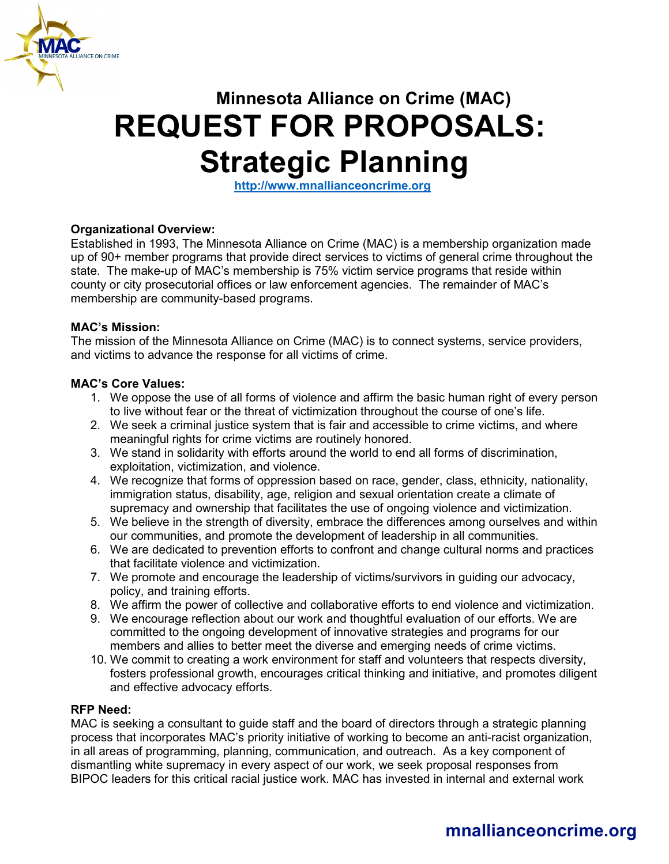

# **Minnesota Alliance on Crime (MAC) REQUEST FOR PROPOSALS: Strategic Planning**

**[http://www.mnallianceoncrime.org](http://www.mnallianceoncrime.org/)**

#### **Organizational Overview:**

Established in 1993, The Minnesota Alliance on Crime (MAC) is a membership organization made up of 90+ member programs that provide direct services to victims of general crime throughout the state. The make-up of MAC's membership is 75% victim service programs that reside within county or city prosecutorial offices or law enforcement agencies. The remainder of MAC's membership are community-based programs.

#### **MAC's Mission:**

The mission of the Minnesota Alliance on Crime (MAC) is to connect systems, service providers, and victims to advance the response for all victims of crime.

#### **MAC's Core Values:**

- 1. We oppose the use of all forms of violence and affirm the basic human right of every person to live without fear or the threat of victimization throughout the course of one's life.
- 2. We seek a criminal justice system that is fair and accessible to crime victims, and where meaningful rights for crime victims are routinely honored.
- 3. We stand in solidarity with efforts around the world to end all forms of discrimination, exploitation, victimization, and violence.
- 4. We recognize that forms of oppression based on race, gender, class, ethnicity, nationality, immigration status, disability, age, religion and sexual orientation create a climate of supremacy and ownership that facilitates the use of ongoing violence and victimization.
- 5. We believe in the strength of diversity, embrace the differences among ourselves and within our communities, and promote the development of leadership in all communities.
- 6. We are dedicated to prevention efforts to confront and change cultural norms and practices that facilitate violence and victimization.
- 7. We promote and encourage the leadership of victims/survivors in guiding our advocacy, policy, and training efforts.
- 8. We affirm the power of collective and collaborative efforts to end violence and victimization.
- 9. We encourage reflection about our work and thoughtful evaluation of our efforts. We are committed to the ongoing development of innovative strategies and programs for our members and allies to better meet the diverse and emerging needs of crime victims.
- 10. We commit to creating a work environment for staff and volunteers that respects diversity, fosters professional growth, encourages critical thinking and initiative, and promotes diligent and effective advocacy efforts.

#### **RFP Need:**

MAC is seeking a consultant to guide staff and the board of directors through a strategic planning process that incorporates MAC's priority initiative of working to become an anti-racist organization, in all areas of programming, planning, communication, and outreach. As a key component of dismantling white supremacy in every aspect of our work, we seek proposal responses from BIPOC leaders for this critical racial justice work. MAC has invested in internal and external work

# **mnallianceoncrime.org**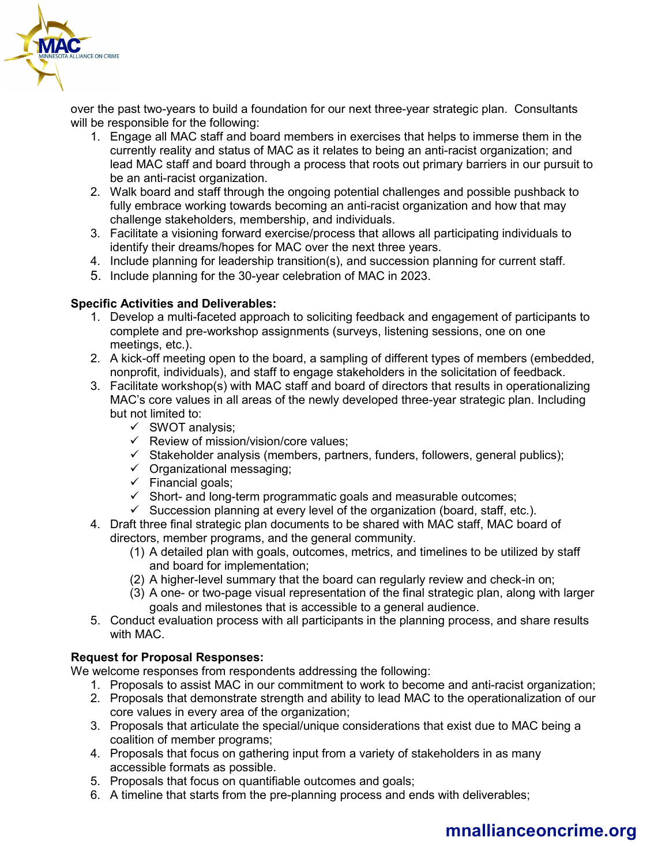

over the past two-years to build a foundation for our next three-year strategic plan. Consultants will be responsible for the following:

- 1. Engage all MAC staff and board members in exercises that helps to immerse them in the currently reality and status of MAC as it relates to being an anti-racist organization; and lead MAC staff and board through a process that roots out primary barriers in our pursuit to be an anti-racist organization.
- 2. Walk board and staff through the ongoing potential challenges and possible pushback to fully embrace working towards becoming an anti-racist organization and how that may challenge stakeholders, membership, and individuals.
- 3. Facilitate a visioning forward exercise/process that allows all participating individuals to identify their dreams/hopes for MAC over the next three years.
- 4. Include planning for leadership transition(s), and succession planning for current staff.
- 5. Include planning for the 30-year celebration of MAC in 2023.

### **Specific Activities and Deliverables:**

- 1. Develop a multi-faceted approach to soliciting feedback and engagement of participants to complete and pre-workshop assignments (surveys, listening sessions, one on one meetings, etc.).
- 2. A kick-off meeting open to the board, a sampling of different types of members (embedded, nonprofit, individuals), and staff to engage stakeholders in the solicitation of feedback.
- 3. Facilitate workshop(s) with MAC staff and board of directors that results in operationalizing MAC's core values in all areas of the newly developed three-year strategic plan. Including but not limited to:
	- $\checkmark$  SWOT analysis:
	- $\checkmark$  Review of mission/vision/core values;
	- $\checkmark$  Stakeholder analysis (members, partners, funders, followers, general publics);
	- $\checkmark$  Organizational messaging;
	- $\checkmark$  Financial goals;
	- $\checkmark$  Short- and long-term programmatic goals and measurable outcomes;
	- $\checkmark$  Succession planning at every level of the organization (board, staff, etc.).
- 4. Draft three final strategic plan documents to be shared with MAC staff, MAC board of directors, member programs, and the general community.
	- (1) A detailed plan with goals, outcomes, metrics, and timelines to be utilized by staff and board for implementation;
	- (2) A higher-level summary that the board can regularly review and check-in on;
	- (3) A one- or two-page visual representation of the final strategic plan, along with larger goals and milestones that is accessible to a general audience.
- 5. Conduct evaluation process with all participants in the planning process, and share results with MAC.

## **Request for Proposal Responses:**

We welcome responses from respondents addressing the following:

- 1. Proposals to assist MAC in our commitment to work to become and anti-racist organization;
- 2. Proposals that demonstrate strength and ability to lead MAC to the operationalization of our core values in every area of the organization;
- 3. Proposals that articulate the special/unique considerations that exist due to MAC being a coalition of member programs;
- 4. Proposals that focus on gathering input from a variety of stakeholders in as many accessible formats as possible.
- 5. Proposals that focus on quantifiable outcomes and goals;
- 6. A timeline that starts from the pre-planning process and ends with deliverables;

# **mnallianceoncrime.org**